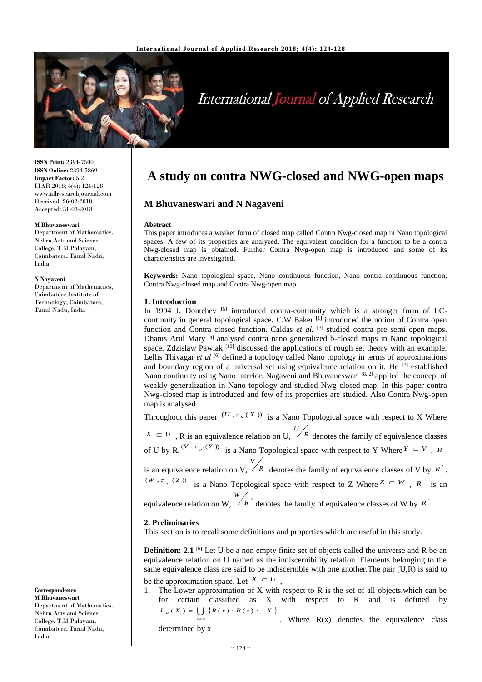

# International Journal of Applied Research

**ISSN Print:** 2394-7500 **ISSN Online:** 2394-5869 **Impact Factor:** 5.2 IJAR 2018; 4(4): 124-128 www.allresearchjournal.com Received: 26-02-2018 Accepted: 31-03-2018

## **M Bhuvaneswari**

Department of Mathematics, Nehru Arts and Science College, T.M Palayam, Coimbatore, Tamil Nadu, India

#### **N Nagaveni**

Department of Mathematics, Coimbatore Institute of Technology, Coimbatore, Tamil Nadu, India

**Correspondence M Bhuvaneswari** Department of Mathematics, Nehru Arts and Science College, T.M Palayam, Coimbatore, Tamil Nadu, India

# **A study on contra NWG-closed and NWG-open maps**

# **M Bhuvaneswari and N Nagaveni**

## **Abstract**

This paper introduces a weaker form of closed map called Contra Nwg-closed map in Nano topological spaces. A few of its properties are analyzed. The equivalent condition for a function to be a contra Nwg-closed map is obtained. Further Contra Nwg-open map is introduced and some of its characteristics are investigated.

**Keywords:** Nano topological space, Nano continuous function, Nano contra continuous function, Contra Nwg-closed map and Contra Nwg-open map

# **1. Introduction**

In 1994 J. Dontchev [5] introduced contra-continuity which is a stronger form of LCcontinuity in general topological space. C.W Baker  $[1]$  introduced the notion of Contra open function and Contra closed function. Caldas *et al.* <sup>[3]</sup> studied contra pre semi open maps. Dhanis Arul Mary [4] analysed contra nano generalized b-closed maps in Nano topological space. Zdzislaw Pawlak <sup>[10]</sup> discussed the applications of rough set theory with an example. Lellis Thivagar *et al* <sup>[6]</sup> defined a topology called Nano topology in terms of approximations and boundary region of a universal set using equivalence relation on it. He  $\overline{[7]}$  established Nano continuity using Nano interior. Nagaveni and Bhuvaneswari [8, 2] applied the concept of weakly generalization in Nano topology and studied Nwg-closed map. In this paper contra Nwg-closed map is introduced and few of its properties are studied. Also Contra Nwg-open map is analysed.

Throughout this paper  $(U, \tau_R(X))$  is a Nano Topological space with respect to X Where

 $X \subseteq U$ , R is an equivalence relation on U,  $\angle R$  $U/R$  denotes the family of equivalence classes

of U by R.<sup>(V,T<sub>R</sub></sub>(Y)) is a Nano Topological space with respect to Y Where  $Y \subseteq V$ , R</sup> *V*

is an equivalence relation on V,  $\angle R$ denotes the family of equivalence classes of V by ' *<sup>R</sup>* .  $(W, \tau_{R}(Z))$  is a Nano Topological space with respect to Z Where  $Z \subseteq W$ , R<sup>\*</sup> is an *W*

equivalence relation on W,  $\angle R^{\dagger}$ denotes the family of equivalence classes of W by  $R^{\dagger}$ .

# **2. Preliminaries**

This section is to recall some definitions and properties which are useful in this study.

**Definition: 2.1** <sup>[6]</sup> Let U be a non empty finite set of objects called the universe and R be an equivalence relation on U named as the indiscernibility relation. Elements belonging to the same equivalence class are said to be indiscernible with one another.The pair (U,R) is said to be the approximation space. Let  $X \subseteq U$ ,

1. The Lower approximation of X with respect to R is the set of all objects,which can be for certain classified as X with respect to R and is defined by  $L_R(X) = \bigcup \{ R(x) : R(x) \subseteq X \}$ 

$$
\sum_{x \in U} x \cdot \sum_{x \in U} x \cdot \sum_{x \in U} x \cdot \sum_{x \in U} x \cdot \sum_{x \in U} x \cdot \sum_{x \in U} x \cdot \sum_{x \in U} x \cdot \sum_{x \in U} x \cdot \sum_{x \in U} x \cdot \sum_{x \in U} x \cdot \sum_{x \in U} x \cdot \sum_{x \in U} x \cdot \sum_{x \in U} x \cdot \sum_{x \in U} x \cdot \sum_{x \in U} x \cdot \sum_{x \in U} x \cdot \sum_{x \in U} x \cdot \sum_{x \in U} x \cdot \sum_{x \in U} x \cdot \sum_{x \in U} x \cdot \sum_{x \in U} x \cdot \sum_{x \in U} x \cdot \sum_{x \in U} x \cdot \sum_{x \in U} x \cdot \sum_{x \in U} x \cdot \sum_{x \in U} x \cdot \sum_{x \in U} x \cdot \sum_{x \in U} x \cdot \sum_{x \in U} x \cdot \sum_{x \in U} x \cdot \sum_{x \in U} x \cdot \sum_{x \in U} x \cdot \sum_{x \in U} x \cdot \sum_{x \in U} x \cdot \sum_{x \in U} x \cdot \sum_{x \in U} x \cdot \sum_{x \in U} x \cdot \sum_{x \in U} x \cdot \sum_{x \in U} x \cdot \sum_{x \in U} x \cdot \sum_{x \in U} x \cdot \sum_{x \in U} x \cdot \sum_{x \in U} x \cdot \sum_{x \in U} x \cdot \sum_{x \in U} x \cdot \sum_{x \in U} x \cdot \sum_{x \in U} x \cdot \sum_{x \in U} x \cdot \sum_{x \in U} x \cdot \sum_{x \in U} x \cdot \sum_{x \in U} x \cdot \sum_{x \in U} x \cdot \sum_{x \in U} x \cdot \sum_{x \in U} x \cdot \sum_{x \in U} x \cdot \sum_{x \in U} x \cdot \sum_{x \in U} x \cdot \sum_{x \in U} x \cdot \sum_{x \in U} x \cdot \sum_{x \in U} x \cdot \sum_{x \in U} x \cdot \sum_{x \in U} x \cdot \sum_{x \in U} x \cdot \sum_{x \in U} x \cdot \sum_{x \in U} x \cdot \sum_{x \in U} x \cdot \sum_{x \in U} x \cdot \sum_{x \in U} x \cdot \sum_{x \in U} x \cdot \
$$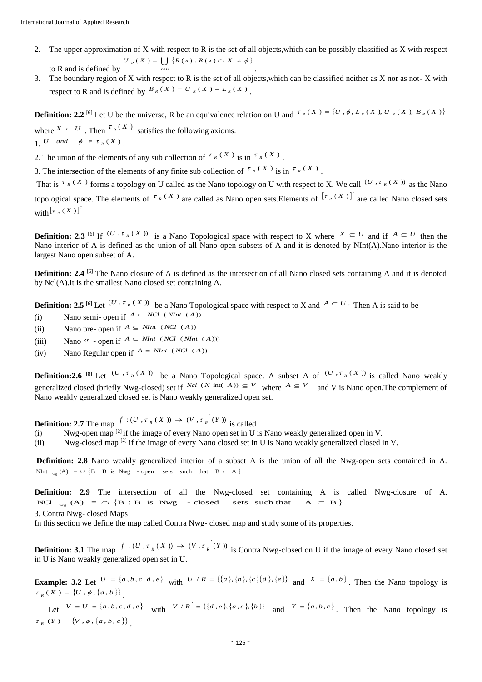- 2. The upper approximation of X with respect to R is the set of all objects,which can be possibly classified as X with respect to R and is defined by  $U_{R}(X) = \bigcup \{ R(x) : R(x) \cap X \neq \phi \}$ .
- 3. The boundary region of X with respect to R is the set of all objects,which can be classified neither as X nor as not- X with respect to R and is defined by  $B_R(X) = U_R(X) - L_R(X)$ .

**Definition:** 2.2 <sup>[6]</sup> Let U be the universe, R be an equivalence relation on U and  $\tau_R(X) = \{U, \phi, L_R(X), U_R(X), B_R(X)\}$ 

where  $X \subseteq U$ . Then  $\tau_R(X)$  satisfies the following axioms. 1. U and  $\phi \in \tau_R(X)$ .

2. The union of the elements of any sub collection of  $\tau_R(X)$  is in  $\tau_R(X)$ .

∊ *<sup>x</sup> U*

3. The intersection of the elements of any finite sub collection of  $\tau_R(X)$  is in  $\tau_R(X)$ .

That is  $\tau_{R}(X)$  forms a topology on U called as the Nano topology on U with respect to X. We call  $(U, \tau_{R}(X))$  as the Nano topological space. The elements of  $\tau_R(X)$  are called as Nano open sets. Elements of  $[\tau_R(X)]^c$  are called Nano closed sets  $\text{with} \left[ \tau_{R}(X) \right]^{c}$ .

**Definition:** 2.3 <sup>[6]</sup> If  $(U, \tau_R(X))$  is a Nano Topological space with respect to X where  $X \subseteq U$  and if  $A \subseteq U$  then the Nano interior of A is defined as the union of all Nano open subsets of A and it is denoted by NInt(A). Nano interior is the largest Nano open subset of A.

**Definition:** 2.4 <sup>[6]</sup> The Nano closure of A is defined as the intersection of all Nano closed sets containing A and it is denoted by Ncl(A).It is the smallest Nano closed set containing A.

**Definition:** 2.5 <sup>[6]</sup> Let  $(U, \tau_R(X))$  be a Nano Topological space with respect to X and  $A \subseteq U$ . Then A is said to be

- (i) Nano semi- open if  $A \subseteq NCl$  (*NInt* (*A*))
- (ii) Nano pre- open if  $A \subseteq NInt$  (*NCl* (*A*))
- (iii) Nano  $\alpha$  open if  $A \subseteq NInt$  (*NCl* (*NInt* (*A*)))
- (iv) Nano Regular open if  $A = NInt (NCl (A))$

**Definition:2.6** [8] Let  $(U, \tau_R(X))$  be a Nano Topological space. A subset A of  $(U, \tau_R(X))$  is called Nano weakly generalized closed (briefly Nwg-closed) set if  $Ncl$  ( $N$  int( $A$ ))  $\subseteq V$  where  $A \subseteq V$  and V is Nano open. The complement of Nano weakly generalized closed set is Nano weakly generalized open set.

**Definition: 2.7** The map  $f : (U, \tau_R(X)) \to (V, \tau_R(Y))$  is called

- (i) Nwg-open map [2] if the image of every Nano open set in U is Nano weakly generalized open in V.
- (ii) Nwg-closed map  $^{[2]}$  if the image of every Nano closed set in U is Nano weakly generalized closed in V.

**Definition: 2.8** Nano weakly generalized interior of a subset A is the union of all the Nwg-open sets contained in A. NInt  $_{\text{wg}}$  (A) =  $\cup$  {B : B is Nwg - open sets such that B  $\subseteq$  A }

**Definition: 2.9** The intersection of all the Nwg-closed set containing A is called Nwg-closure of A. NCl  $_{wg}(A) = \bigcap \{B : B \text{ is Nwg - closed sets such that } A \subseteq B\}$ 3. Contra Nwg- closed Maps

In this section we define the map called Contra Nwg- closed map and study some of its properties.

**Definition: 3.1** The map  $f: (U, \tau_R(X)) \to (V, \tau_R(Y))$  is Contra Nwg-closed on U if the image of every Nano closed set in U is Nano weakly generalized open set in U.

**Example:** 3.2 Let  $U = \{a, b, c, d, e\}$  with  $U/R = \{\{a\}, \{b\}, \{c\}\{d\}, \{e\}\}\$ and  $X = \{a, b\}$ . Then the Nano topology is  $\tau_R(X) = \{U, \phi, \{a, b\}\}.$ 

Let  $V = U = \{a, b, c, d, e\}$  with  $V/R = \{\{d, e\}, \{a, c\}, \{b\}\}$  and  $Y = \{a, b, c\}$ . Then the Nano topology is  $\tau_R^{-}(Y) = \{V, \phi, \{a, b, c\}\}\right.$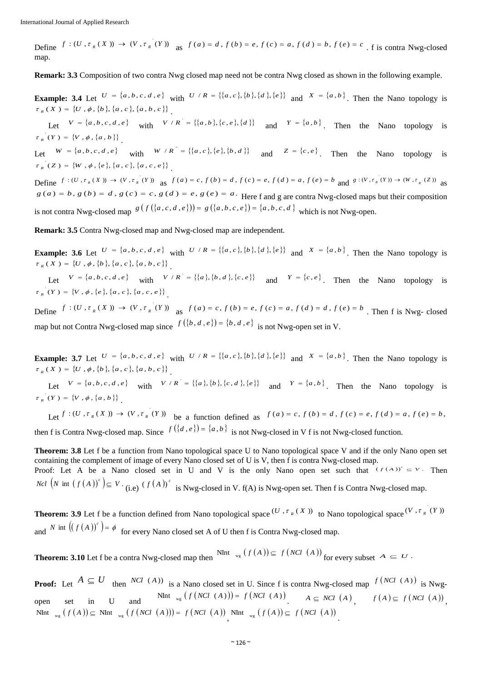Define  $f: (U, \tau_R(X)) \to (V, \tau_R(Y))$  as  $f(a) = d, f(b) = e, f(c) = a, f(d) = b, f(e) = c$ . f is contra Nwg-closed map.

**Remark: 3.3** Composition of two contra Nwg closed map need not be contra Nwg closed as shown in the following example.

**Example:** 3.4 Let  $U = \{a, b, c, d, e\}$  with  $U/R = \{\{a, c\}, \{b\}, \{d\}, \{e\}\}$  and  $X = \{a, b\}$ . Then the Nano topology is  $\tau_R(X) = \{U, \phi, \{b\}, \{a, c\}, \{a, b, c\}\}\right.$ 

Let  $V = \{a, b, c, d, e\}$  with  $V / R' = \{\{a, b\}, \{c, e\}, \{d\}\}$  and  $Y = \{a, b\}$ . Then the Nano topology is  $\tau_R^{-}(Y) = \{V, \phi, \{a, b\}\}\right.$ 

Let  $W = \{a, b, c, d, e\}$  with  $W / R^{\dagger} = \{\{a, c\}, \{e\}, \{b, d\}\}$  and  $Z = \{c, e\}$ . Then the Nano topology is  $\tau_R$  (Z) = {*W*,  $\phi$ , {e}, {a, c}, {a, c, e}}.

Define  $f: (U, \tau_R(X)) \to (V, \tau_R(Y))$  as  $f(a) = c, f(b) = d, f(c) = e, f(d) = a, f(e) = b$  and  $g: (V, \tau_R(Y)) \to (W, \tau_R(X))$  as  $g(a) = b$ ,  $g(b) = d$ ,  $g(c) = c$ ,  $g(d) = e$ ,  $g(e) = a$ . Here f and g are contra Nwg-closed maps but their composition is not contra Nwg-closed map  $g(f(\{a, c, d, e\})) = g(\{a, b, c, e\}) = \{a, b, c, d\}$  which is not Nwg-open.

**Remark: 3.5** Contra Nwg-closed map and Nwg-closed map are independent.

**Example:** 3.6 Let  $U = \{a, b, c, d, e\}$  with  $U/R = \{\{a, c\}, \{b\}, \{d\}, \{e\}\}$  and  $X = \{a, b\}$ . Then the Nano topology is  $\tau_R(X) = \{U, \phi, \{b\}, \{a, c\}, \{a, b, c\}\}\right.$ 

Let  $V = \{a, b, c, d, e\}$  with  $V / R = \{\{a\}, \{b, d\}, \{c, e\}\}$  and  $Y = \{c, e\}$ . Then the Nano topology is  $\tau_R^{\mathcal{L}}(Y) = \{V, \phi, \{e\}, \{a, c\}, \{a, c, e\}\}\$ 

Define  $f:(U, \tau_{R}(X)) \to (V, \tau_{R}(Y))$  as  $f(a) = c, f(b) = e, f(c) = a, f(d) = d, f(e) = b$ . Then f is Nwg-closed map but not Contra Nwg-closed map since  $f({b, d, e}) = {b, d, e}$  is not Nwg-open set in V.

**Example:** 3.7 Let  $U = \{a, b, c, d, e\}$  with  $U/R = \{\{a, c\}, \{b\}, \{d\}, \{e\}\}$  and  $X = \{a, b\}$ . Then the Nano topology is  $\tau_R(X) = \{U, \phi, \{b\}, \{a, c\}, \{a, b, c\}\}\right.$ 

Let  $V = \{a, b, c, d, e\}$  with  $V / R = \{\{a\}, \{b\}, \{c, d\}, \{e\}\}$  and  $Y = \{a, b\}$ . Then the Nano topology is  $\tau_{R}(Y) = \{V, \phi, \{a, b\}\}\right.$ 

Let  $f: (U, \tau_{R}(X)) \to (V, \tau_{R}(Y))$  be a function defined as  $f(a) = c, f(b) = d, f(c) = e, f(d) = a, f(e) = b$ , then f is Contra Nwg-closed map. Since  $f({d, e}) = {a, b}$  is not Nwg-closed in V f is not Nwg-closed function.

**Theorem: 3.8** Let f be a function from Nano topological space U to Nano topological space V and if the only Nano open set containing the complement of image of every Nano closed set of U is V, then f is contra Nwg-closed map. Proof: Let A be a Nano closed set in U and V is the only Nano open set such that  $(f(A))^c \subseteq V$ . Then *Ncl*  $\left(N \text{ int } (f(A))^c\right) \subseteq V \cdot$   $(i.e)$   $\left(f(A)\right)^c$  is Nwg-closed in V. f(A) is Nwg-open set. Then f is Contra Nwg-closed map.

**Theorem:** 3.9 Let f be a function defined from Nano topological space  $(U, \tau_R(X))$  to Nano topological space  $(V, \tau_R(Y))$ and *N* int  $((f(A))^c) = \phi$  for every Nano closed set A of U then f is Contra Nwg-closed map.

**Theorem:** 3.10 Let f be a contra Nwg-closed map then  $\lim_{x \to a} (f(A)) \subseteq f(NCl^p(A))$  for every subset  $A \subseteq U$ .

**Proof:** Let  $A \subseteq U$  then  $NCl(A)$  is a Nano closed set in U. Since f is contra Nwg-closed map  $f(NCl(A))$  is Nwgopen set in U and NInt  $_{\text{wg}}(f(NCl (A))) = f(NCl (A))$ <br>*A*  $\subseteq NCl(A)$ ,  $f(A) \subseteq f(NCl (A))$ ,  $\text{NInt}_{\text{avg}}\left(f\left(A\right)\right) \subseteq \text{NInt}_{\text{avg}}\left(f\left(NCl\left(A\right)\right)\right) = f\left(NCl\left(A\right)\right) \text{, NInt}_{\text{avg}}\left(f\left(A\right)\right) \subseteq f\left(NCl\left(A\right)\right).$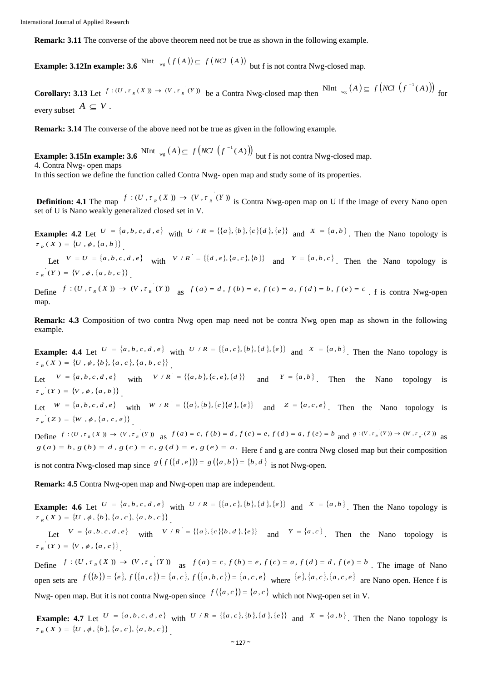**Remark: 3.11** The converse of the above theorem need not be true as shown in the following example.

**Example: 3.12In example: 3.6** NInt  $\lim_{x \to \infty} (f(A)) \subseteq f(NCI(A))$  but f is not contra Nwg-closed map.

**Corollary: 3.13** Let  $f:(U, \tau_{R}(X)) \to (V, \tau_{R}(Y))$  be a Contra Nwg-closed map then NInt  $_{wg}(A) \subseteq f(NCl(f^{-1}(A)))$  $\mathcal{L}_{\text{avg}}(A) \subseteq f\left( NCI\left(f^{-1}(A)\right)\right)$  for every subset  $A \subseteq V$ .

**Remark: 3.14** The converse of the above need not be true as given in the following example.

**Example: 3.15In example: 3.6** NInt  $_{\text{wg}}(A) \subseteq f(NCI\ (f^{-1}(A)))$  $\mathcal{L}_{\text{avg}}(A) \subseteq f(NCl \ (f^{-1}(A)))$  but f is not contra Nwg-closed map. 4. Contra Nwg- open maps

In this section we define the function called Contra Nwg- open map and study some of its properties.

**Definition: 4.1** The map  $f:(U, \tau_{R}(X)) \to (V, \tau_{R}(Y))$  is Contra Nwg-open map on U if the image of every Nano open set of U is Nano weakly generalized closed set in V.

**Example:** 4.2 Let  $U = \{a, b, c, d, e\}$  with  $U/R = \{\{a\}, \{b\}, \{c\}\{d\}, \{e\}\}\$ and  $X = \{a, b\}$ . Then the Nano topology is  $\tau_R(X) = \{U, \phi, \{a, b\}\}.$ 

Let  $V = U = \{a, b, c, d, e\}$  with  $V/R = \{\{d, e\}, \{a, c\}, \{b\}\}$  and  $Y = \{a, b, c\}$ . Then the Nano topology is  $\tau_R^{-}(Y) = \{V, \phi, \{a, b, c\}\}\,$ 

Define  $f: (U, \tau_R(X)) \to (V, \tau_R(Y))$  as  $f(a) = d$ ,  $f(b) = e$ ,  $f(c) = a$ ,  $f(d) = b$ ,  $f(e) = c$ . f is contra Nwg-open map.

**Remark: 4.3** Composition of two contra Nwg open map need not be contra Nwg open map as shown in the following example.

**Example:** 4.4 Let  $U = \{a, b, c, d, e\}$  with  $U/R = \{\{a, c\}, \{b\}, \{d\}, \{e\}\}$  and  $X = \{a, b\}$ . Then the Nano topology is  $\tau_R(X) = \{U, \phi, \{b\}, \{a, c\}, \{a, b, c\}\}\right.$ 

Let  $V = \{a, b, c, d, e\}$  with  $V / R = \{\{a, b\}, \{c, e\}, \{d\}\}$  and  $Y = \{a, b\}$ . Then the Nano topology is  $\tau_R^{-}(Y) = \{V, \phi, \{a, b\}\}\right.$ 

Let  $W = \{a, b, c, d, e\}$  with  $W / R^* = \{\{a\}, \{b\}, \{c\}\{d\}, \{e\}\}$  and  $Z = \{a, c, e\}$ . Then the Nano topology is  $\tau_R^{-}(Z) = \{W, \phi, \{a, c, e\}\}.$ 

Define  $f: (U, \tau_R(X)) \to (V, \tau_R(Y))$  as  $f(a) = c, f(b) = d, f(c) = e, f(d) = a, f(e) = b$  and  $g: (V, \tau_R(Y)) \to (W, \tau_R(X))$  as  $g(a) = b$ ,  $g(b) = d$ ,  $g(c) = c$ ,  $g(d) = e$ ,  $g(e) = a$ . Here f and g are contra Nwg closed map but their composition is not contra Nwg-closed map since  $g(f(\lbrace d, e \rbrace)) = g(\lbrace a,b \rbrace) = \lbrace b, d \rbrace$  is not Nwg-open.

**Remark: 4.5** Contra Nwg-open map and Nwg-open map are independent.

**Example:** 4.6 Let  $U = \{a, b, c, d, e\}$  with  $U/R = \{\{a, c\}, \{b\}, \{d\}, \{e\}\}$  and  $X = \{a, b\}$ . Then the Nano topology is  $\tau_R(X) = \{U, \phi, \{b\}, \{a, c\}, \{a, b, c\}\}\right.$ 

Let  $V = \{a, b, c, d, e\}$  with  $V / R' = \{\{a\}, \{c\}\{b, d\}, \{e\}\}$  and  $Y = \{a, c\}$ . Then the Nano topology is  $\tau_R^{-}(Y) = \{V, \phi, \{a, c\}\},\$ 

Define  $f:(U, \tau_{R}(X)) \to (V, \tau_{R}(Y))$  as  $f(a) = c, f(b) = e, f(c) = a, f(d) = d, f(e) = b$ . The image of Nano open sets are  $f({b}) = {e}$ ,  $f({a, c}) = {a, c}$ ,  $f({a, b, c}) = {a, c, e}$  where  ${e}$ ,  ${a, c}$ ,  ${a, c}$ ,  ${a, c, e}$  are Nano open. Hence f is Nwg- open map. But it is not contra Nwg-open since  $f(\lbrace a, c \rbrace) = \lbrace a, c \rbrace$  which not Nwg-open set in V.

**Example:** 4.7 Let  $U = \{a, b, c, d, e\}$  with  $U/R = \{\{a, c\}, \{b\}, \{d\}, \{e\}\}$  and  $X = \{a, b\}$ . Then the Nano topology is  $\tau_R(X) = \{U, \phi, \{b\}, \{a, c\}, \{a, b, c\}\}\right.$